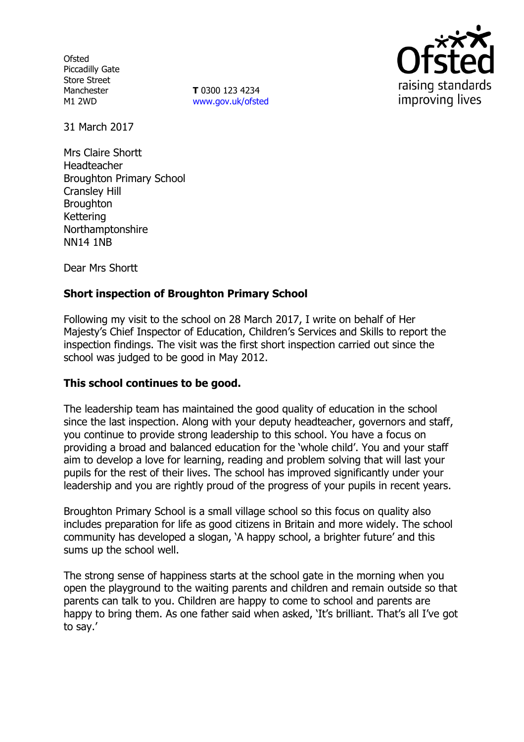**Ofsted** Piccadilly Gate Store Street Manchester M1 2WD

**T** 0300 123 4234 www.gov.uk/ofsted



31 March 2017

Mrs Claire Shortt Headteacher Broughton Primary School Cransley Hill **Broughton** Kettering Northamptonshire NN14 1NB

Dear Mrs Shortt

# **Short inspection of Broughton Primary School**

Following my visit to the school on 28 March 2017, I write on behalf of Her Majesty's Chief Inspector of Education, Children's Services and Skills to report the inspection findings. The visit was the first short inspection carried out since the school was judged to be good in May 2012.

### **This school continues to be good.**

The leadership team has maintained the good quality of education in the school since the last inspection. Along with your deputy headteacher, governors and staff, you continue to provide strong leadership to this school. You have a focus on providing a broad and balanced education for the 'whole child'. You and your staff aim to develop a love for learning, reading and problem solving that will last your pupils for the rest of their lives. The school has improved significantly under your leadership and you are rightly proud of the progress of your pupils in recent years.

Broughton Primary School is a small village school so this focus on quality also includes preparation for life as good citizens in Britain and more widely. The school community has developed a slogan, 'A happy school, a brighter future' and this sums up the school well.

The strong sense of happiness starts at the school gate in the morning when you open the playground to the waiting parents and children and remain outside so that parents can talk to you. Children are happy to come to school and parents are happy to bring them. As one father said when asked, 'It's brilliant. That's all I've got to say.'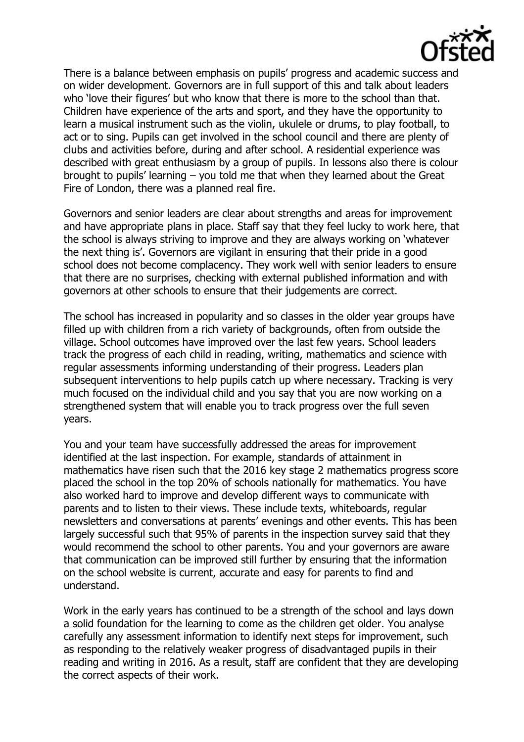

There is a balance between emphasis on pupils' progress and academic success and on wider development. Governors are in full support of this and talk about leaders who 'love their figures' but who know that there is more to the school than that. Children have experience of the arts and sport, and they have the opportunity to learn a musical instrument such as the violin, ukulele or drums, to play football, to act or to sing. Pupils can get involved in the school council and there are plenty of clubs and activities before, during and after school. A residential experience was described with great enthusiasm by a group of pupils. In lessons also there is colour brought to pupils' learning – you told me that when they learned about the Great Fire of London, there was a planned real fire.

Governors and senior leaders are clear about strengths and areas for improvement and have appropriate plans in place. Staff say that they feel lucky to work here, that the school is always striving to improve and they are always working on 'whatever the next thing is'. Governors are vigilant in ensuring that their pride in a good school does not become complacency. They work well with senior leaders to ensure that there are no surprises, checking with external published information and with governors at other schools to ensure that their judgements are correct.

The school has increased in popularity and so classes in the older year groups have filled up with children from a rich variety of backgrounds, often from outside the village. School outcomes have improved over the last few years. School leaders track the progress of each child in reading, writing, mathematics and science with regular assessments informing understanding of their progress. Leaders plan subsequent interventions to help pupils catch up where necessary. Tracking is very much focused on the individual child and you say that you are now working on a strengthened system that will enable you to track progress over the full seven years.

You and your team have successfully addressed the areas for improvement identified at the last inspection. For example, standards of attainment in mathematics have risen such that the 2016 key stage 2 mathematics progress score placed the school in the top 20% of schools nationally for mathematics. You have also worked hard to improve and develop different ways to communicate with parents and to listen to their views. These include texts, whiteboards, regular newsletters and conversations at parents' evenings and other events. This has been largely successful such that 95% of parents in the inspection survey said that they would recommend the school to other parents. You and your governors are aware that communication can be improved still further by ensuring that the information on the school website is current, accurate and easy for parents to find and understand.

Work in the early years has continued to be a strength of the school and lays down a solid foundation for the learning to come as the children get older. You analyse carefully any assessment information to identify next steps for improvement, such as responding to the relatively weaker progress of disadvantaged pupils in their reading and writing in 2016. As a result, staff are confident that they are developing the correct aspects of their work.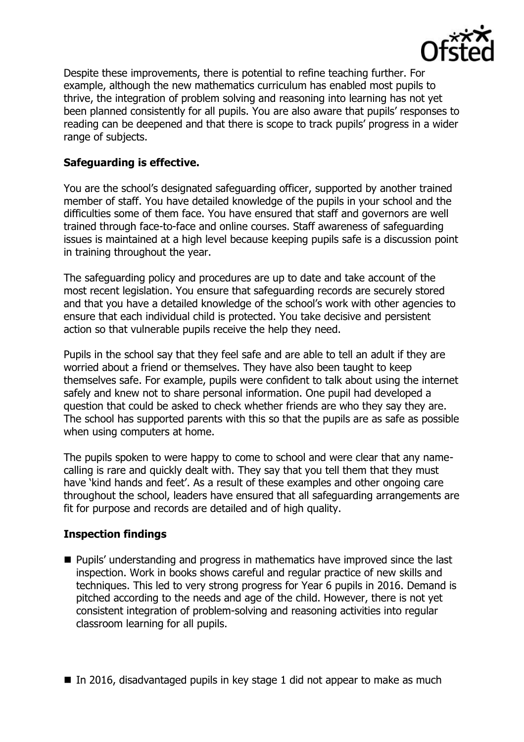

Despite these improvements, there is potential to refine teaching further. For example, although the new mathematics curriculum has enabled most pupils to thrive, the integration of problem solving and reasoning into learning has not yet been planned consistently for all pupils. You are also aware that pupils' responses to reading can be deepened and that there is scope to track pupils' progress in a wider range of subjects.

## **Safeguarding is effective.**

You are the school's designated safeguarding officer, supported by another trained member of staff. You have detailed knowledge of the pupils in your school and the difficulties some of them face. You have ensured that staff and governors are well trained through face-to-face and online courses. Staff awareness of safeguarding issues is maintained at a high level because keeping pupils safe is a discussion point in training throughout the year.

The safeguarding policy and procedures are up to date and take account of the most recent legislation. You ensure that safeguarding records are securely stored and that you have a detailed knowledge of the school's work with other agencies to ensure that each individual child is protected. You take decisive and persistent action so that vulnerable pupils receive the help they need.

Pupils in the school say that they feel safe and are able to tell an adult if they are worried about a friend or themselves. They have also been taught to keep themselves safe. For example, pupils were confident to talk about using the internet safely and knew not to share personal information. One pupil had developed a question that could be asked to check whether friends are who they say they are. The school has supported parents with this so that the pupils are as safe as possible when using computers at home.

The pupils spoken to were happy to come to school and were clear that any namecalling is rare and quickly dealt with. They say that you tell them that they must have 'kind hands and feet'. As a result of these examples and other ongoing care throughout the school, leaders have ensured that all safeguarding arrangements are fit for purpose and records are detailed and of high quality.

# **Inspection findings**

- **Pupils' understanding and progress in mathematics have improved since the last** inspection. Work in books shows careful and regular practice of new skills and techniques. This led to very strong progress for Year 6 pupils in 2016. Demand is pitched according to the needs and age of the child. However, there is not yet consistent integration of problem-solving and reasoning activities into regular classroom learning for all pupils.
- In 2016, disadvantaged pupils in key stage 1 did not appear to make as much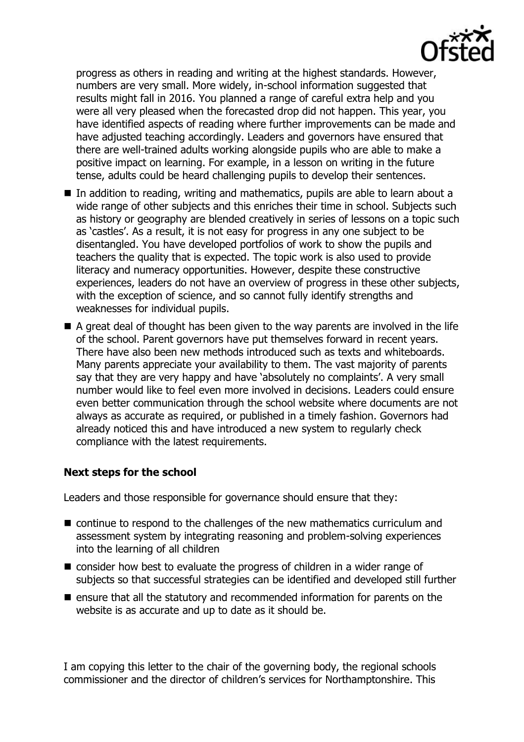

progress as others in reading and writing at the highest standards. However, numbers are very small. More widely, in-school information suggested that results might fall in 2016. You planned a range of careful extra help and you were all very pleased when the forecasted drop did not happen. This year, you have identified aspects of reading where further improvements can be made and have adjusted teaching accordingly. Leaders and governors have ensured that there are well-trained adults working alongside pupils who are able to make a positive impact on learning. For example, in a lesson on writing in the future tense, adults could be heard challenging pupils to develop their sentences.

- In addition to reading, writing and mathematics, pupils are able to learn about a wide range of other subjects and this enriches their time in school. Subjects such as history or geography are blended creatively in series of lessons on a topic such as 'castles'. As a result, it is not easy for progress in any one subject to be disentangled. You have developed portfolios of work to show the pupils and teachers the quality that is expected. The topic work is also used to provide literacy and numeracy opportunities. However, despite these constructive experiences, leaders do not have an overview of progress in these other subjects, with the exception of science, and so cannot fully identify strengths and weaknesses for individual pupils.
- $\blacksquare$  A great deal of thought has been given to the way parents are involved in the life of the school. Parent governors have put themselves forward in recent years. There have also been new methods introduced such as texts and whiteboards. Many parents appreciate your availability to them. The vast majority of parents say that they are very happy and have 'absolutely no complaints'. A very small number would like to feel even more involved in decisions. Leaders could ensure even better communication through the school website where documents are not always as accurate as required, or published in a timely fashion. Governors had already noticed this and have introduced a new system to regularly check compliance with the latest requirements.

### **Next steps for the school**

Leaders and those responsible for governance should ensure that they:

- continue to respond to the challenges of the new mathematics curriculum and assessment system by integrating reasoning and problem-solving experiences into the learning of all children
- consider how best to evaluate the progress of children in a wider range of subjects so that successful strategies can be identified and developed still further
- $\blacksquare$  ensure that all the statutory and recommended information for parents on the website is as accurate and up to date as it should be.

I am copying this letter to the chair of the governing body, the regional schools commissioner and the director of children's services for Northamptonshire. This